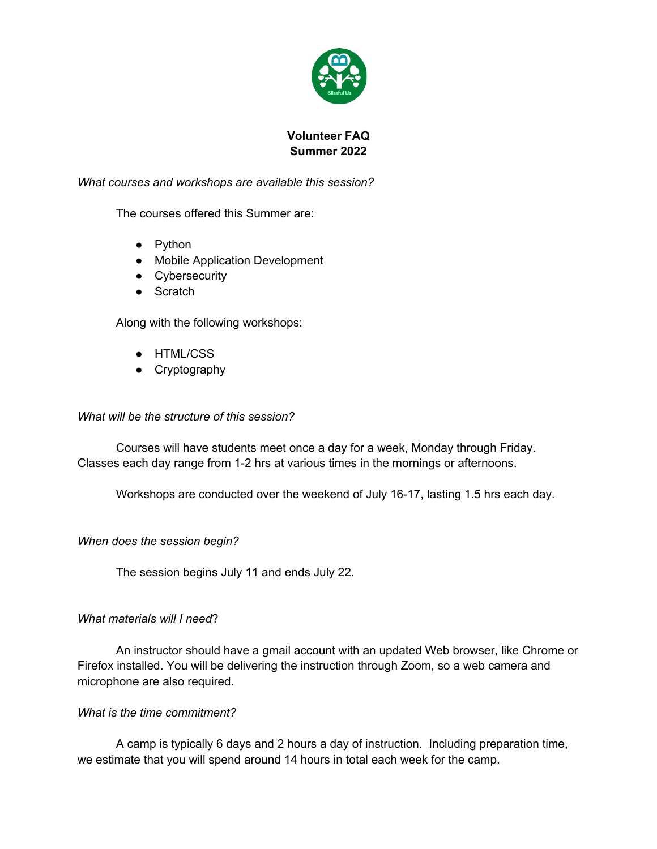

# **Volunteer FAQ Summer 2022**

*What courses and workshops are available this session?*

The courses offered this Summer are:

- Python
- Mobile Application Development
- Cybersecurity
- Scratch

Along with the following workshops:

- HTML/CSS
- Cryptography

#### *What will be the structure of this session?*

Courses will have students meet once a day for a week, Monday through Friday. Classes each day range from 1-2 hrs at various times in the mornings or afternoons.

Workshops are conducted over the weekend of July 16-17, lasting 1.5 hrs each day.

*When does the session begin?*

The session begins July 11 and ends July 22.

### *What materials will I need*?

An instructor should have a gmail account with an updated Web browser, like Chrome or Firefox installed. You will be delivering the instruction through Zoom, so a web camera and microphone are also required.

### *What is the time commitment?*

A camp is typically 6 days and 2 hours a day of instruction. Including preparation time, we estimate that you will spend around 14 hours in total each week for the camp.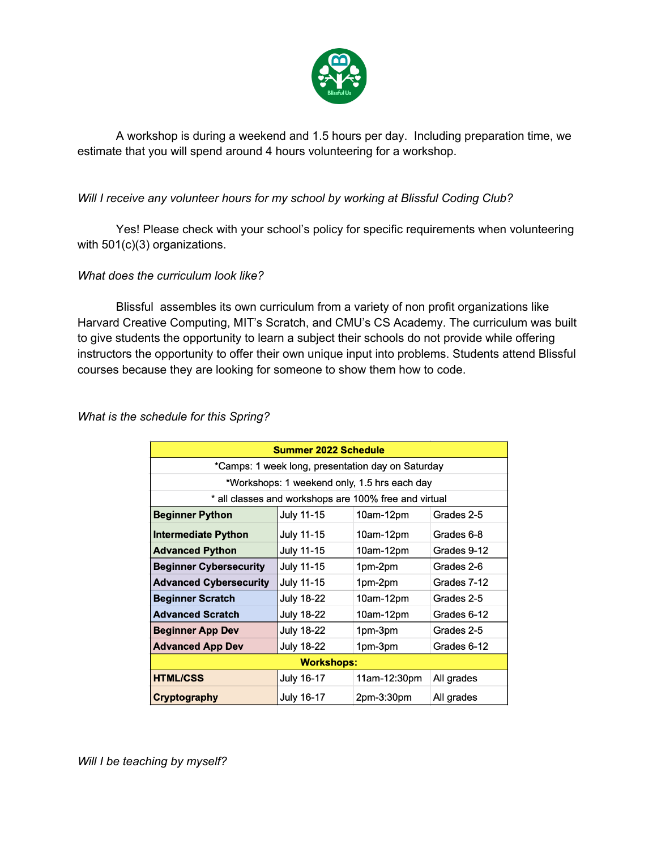

A workshop is during a weekend and 1.5 hours per day. Including preparation time, we estimate that you will spend around 4 hours volunteering for a workshop.

## *Will I receive any volunteer hours for my school by working at Blissful Coding Club?*

Yes! Please check with your school's policy for specific requirements when volunteering with 501(c)(3) organizations.

### *What does the curriculum look like?*

Blissful assembles its own curriculum from a variety of non profit organizations like Harvard Creative Computing, MIT's Scratch, and CMU's CS Academy. The curriculum was built to give students the opportunity to learn a subject their schools do not provide while offering instructors the opportunity to offer their own unique input into problems. Students attend Blissful courses because they are looking for someone to show them how to code.

*What is the schedule for this Spring?* 

| <b>Summer 2022 Schedule</b>                           |                   |              |             |  |  |  |
|-------------------------------------------------------|-------------------|--------------|-------------|--|--|--|
| *Camps: 1 week long, presentation day on Saturday     |                   |              |             |  |  |  |
| *Workshops: 1 weekend only, 1.5 hrs each day          |                   |              |             |  |  |  |
| * all classes and workshops are 100% free and virtual |                   |              |             |  |  |  |
| <b>Beginner Python</b>                                | <b>July 11-15</b> | 10am-12pm    | Grades 2-5  |  |  |  |
| <b>Intermediate Python</b>                            | July 11-15        | 10am-12pm    | Grades 6-8  |  |  |  |
| <b>Advanced Python</b>                                | <b>July 11-15</b> | 10am-12pm    | Grades 9-12 |  |  |  |
| <b>Beginner Cybersecurity</b>                         | <b>July 11-15</b> | 1pm-2pm      | Grades 2-6  |  |  |  |
| <b>Advanced Cybersecurity</b>                         | July 11-15        | 1pm-2pm      | Grades 7-12 |  |  |  |
| <b>Beginner Scratch</b>                               | <b>July 18-22</b> | 10am-12pm    | Grades 2-5  |  |  |  |
| <b>Advanced Scratch</b>                               | <b>July 18-22</b> | 10am-12pm    | Grades 6-12 |  |  |  |
| <b>Beginner App Dev</b>                               | July 18-22        | 1pm-3pm      | Grades 2-5  |  |  |  |
| <b>Advanced App Dev</b>                               | <b>July 18-22</b> | 1pm-3pm      | Grades 6-12 |  |  |  |
| <b>Workshops:</b>                                     |                   |              |             |  |  |  |
| <b>HTML/CSS</b>                                       | July 16-17        | 11am-12:30pm | All grades  |  |  |  |
| Cryptography                                          | <b>July 16-17</b> | 2pm-3:30pm   | All grades  |  |  |  |